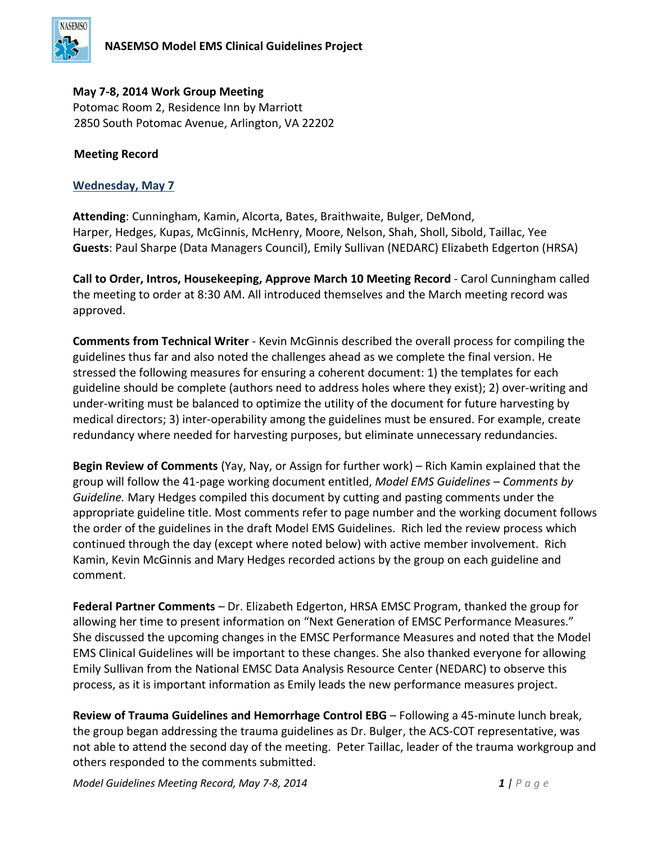

## **May 7-8, 2014 Work Group Meeting**

Potomac Room 2, Residence Inn by Marriott 2850 South Potomac Avenue, Arlington, VA 22202

## **Meeting Record**

## **Wednesday, May 7**

**Attending**: Cunningham, Kamin, Alcorta, Bates, Braithwaite, Bulger, DeMond, Harper, Hedges, Kupas, McGinnis, McHenry, Moore, Nelson, Shah, Sholl, Sibold, Taillac, Yee **Guests**: Paul Sharpe (Data Managers Council), Emily Sullivan (NEDARC) Elizabeth Edgerton (HRSA)

**Call to Order, Intros, Housekeeping, Approve March 10 Meeting Record** - Carol Cunningham called the meeting to order at 8:30 AM. All introduced themselves and the March meeting record was approved.

**Comments from Technical Writer** - Kevin McGinnis described the overall process for compiling the guidelines thus far and also noted the challenges ahead as we complete the final version. He stressed the following measures for ensuring a coherent document: 1) the templates for each guideline should be complete (authors need to address holes where they exist); 2) over-writing and under-writing must be balanced to optimize the utility of the document for future harvesting by medical directors; 3) inter-operability among the guidelines must be ensured. For example, create redundancy where needed for harvesting purposes, but eliminate unnecessary redundancies.

**Begin Review of Comments** (Yay, Nay, or Assign for further work) – Rich Kamin explained that the group will follow the 41-page working document entitled, *Model EMS Guidelines – Comments by Guideline.* Mary Hedges compiled this document by cutting and pasting comments under the appropriate guideline title. Most comments refer to page number and the working document follows the order of the guidelines in the draft Model EMS Guidelines. Rich led the review process which continued through the day (except where noted below) with active member involvement. Rich Kamin, Kevin McGinnis and Mary Hedges recorded actions by the group on each guideline and comment.

**Federal Partner Comments** – Dr. Elizabeth Edgerton, HRSA EMSC Program, thanked the group for allowing her time to present information on "Next Generation of EMSC Performance Measures." She discussed the upcoming changes in the EMSC Performance Measures and noted that the Model EMS Clinical Guidelines will be important to these changes. She also thanked everyone for allowing Emily Sullivan from the National EMSC Data Analysis Resource Center (NEDARC) to observe this process, as it is important information as Emily leads the new performance measures project.

**Review of Trauma Guidelines and Hemorrhage Control EBG** – Following a 45-minute lunch break, the group began addressing the trauma guidelines as Dr. Bulger, the ACS-COT representative, was not able to attend the second day of the meeting. Peter Taillac, leader of the trauma workgroup and others responded to the comments submitted.

*Model Guidelines Meeting Record, May 7-8, 2014 1 | P a g e*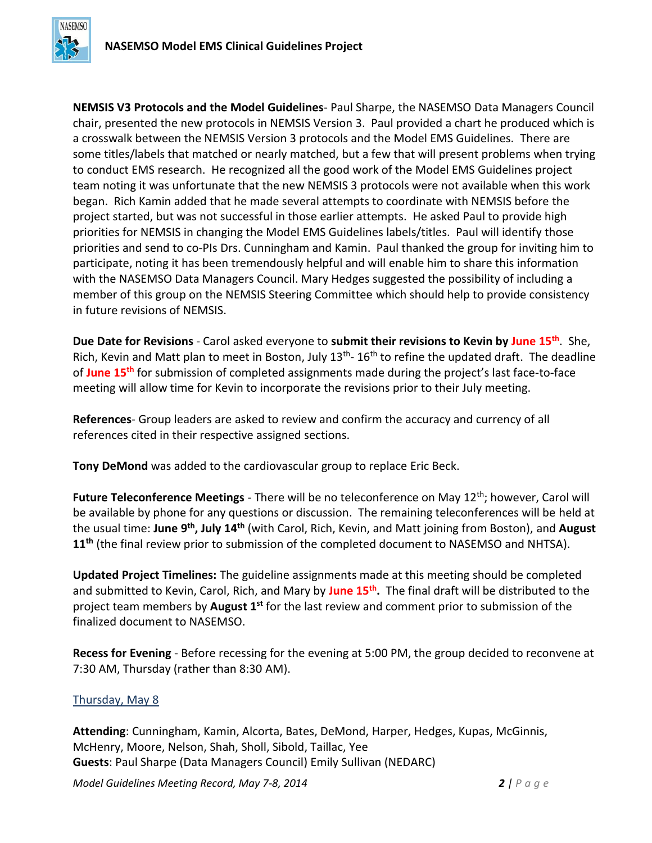

**NEMSIS V3 Protocols and the Model Guidelines**- Paul Sharpe, the NASEMSO Data Managers Council chair, presented the new protocols in NEMSIS Version 3. Paul provided a chart he produced which is a crosswalk between the NEMSIS Version 3 protocols and the Model EMS Guidelines. There are some titles/labels that matched or nearly matched, but a few that will present problems when trying to conduct EMS research. He recognized all the good work of the Model EMS Guidelines project team noting it was unfortunate that the new NEMSIS 3 protocols were not available when this work began. Rich Kamin added that he made several attempts to coordinate with NEMSIS before the project started, but was not successful in those earlier attempts. He asked Paul to provide high priorities for NEMSIS in changing the Model EMS Guidelines labels/titles. Paul will identify those priorities and send to co-PIs Drs. Cunningham and Kamin. Paul thanked the group for inviting him to participate, noting it has been tremendously helpful and will enable him to share this information with the NASEMSO Data Managers Council. Mary Hedges suggested the possibility of including a member of this group on the NEMSIS Steering Committee which should help to provide consistency in future revisions of NEMSIS.

**Due Date for Revisions** - Carol asked everyone to **submit their revisions to Kevin by June 15th** . She, Rich, Kevin and Matt plan to meet in Boston, July 13<sup>th</sup>- 16<sup>th</sup> to refine the updated draft. The deadline of **June 15th** for submission of completed assignments made during the project's last face-to-face meeting will allow time for Kevin to incorporate the revisions prior to their July meeting.

**References**- Group leaders are asked to review and confirm the accuracy and currency of all references cited in their respective assigned sections.

**Tony DeMond** was added to the cardiovascular group to replace Eric Beck.

**Future Teleconference Meetings** - There will be no teleconference on May 12<sup>th</sup>; however, Carol will be available by phone for any questions or discussion. The remaining teleconferences will be held at the usual time: **June 9th, July 14th** (with Carol, Rich, Kevin, and Matt joining from Boston), and **August 11th** (the final review prior to submission of the completed document to NASEMSO and NHTSA).

**Updated Project Timelines:** The guideline assignments made at this meeting should be completed and submitted to Kevin, Carol, Rich, and Mary by **June 15th .** The final draft will be distributed to the project team members by **August 1st** for the last review and comment prior to submission of the finalized document to NASEMSO.

**Recess for Evening** - Before recessing for the evening at 5:00 PM, the group decided to reconvene at 7:30 AM, Thursday (rather than 8:30 AM).

## Thursday, May 8

**Attending**: Cunningham, Kamin, Alcorta, Bates, DeMond, Harper, Hedges, Kupas, McGinnis, McHenry, Moore, Nelson, Shah, Sholl, Sibold, Taillac, Yee **Guests**: Paul Sharpe (Data Managers Council) Emily Sullivan (NEDARC)

*Model Guidelines Meeting Record, May 7-8, 2014 2 | P a g e*